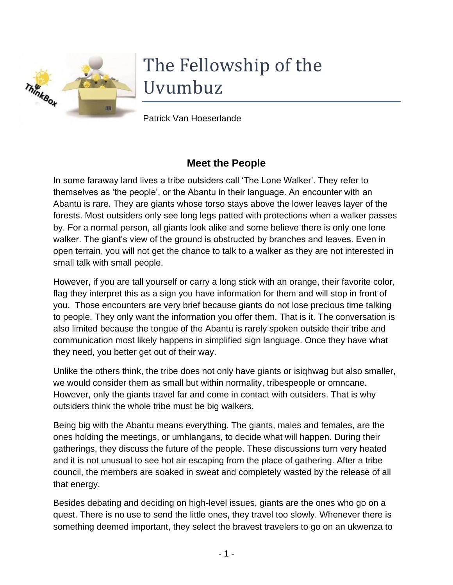

# The Fellowship of the Uvumbuz

Patrick Van Hoeserlande

## **Meet the People**

In some faraway land lives a tribe outsiders call 'The Lone Walker'. They refer to themselves as 'the people', or the Abantu in their language. An encounter with an Abantu is rare. They are giants whose torso stays above the lower leaves layer of the forests. Most outsiders only see long legs patted with protections when a walker passes by. For a normal person, all giants look alike and some believe there is only one lone walker. The giant's view of the ground is obstructed by branches and leaves. Even in open terrain, you will not get the chance to talk to a walker as they are not interested in small talk with small people.

However, if you are tall yourself or carry a long stick with an orange, their favorite color, flag they interpret this as a sign you have information for them and will stop in front of you. Those encounters are very brief because giants do not lose precious time talking to people. They only want the information you offer them. That is it. The conversation is also limited because the tongue of the Abantu is rarely spoken outside their tribe and communication most likely happens in simplified sign language. Once they have what they need, you better get out of their way.

Unlike the others think, the tribe does not only have giants or isiqhwag but also smaller, we would consider them as small but within normality, tribespeople or omncane. However, only the giants travel far and come in contact with outsiders. That is why outsiders think the whole tribe must be big walkers.

Being big with the Abantu means everything. The giants, males and females, are the ones holding the meetings, or umhlangans, to decide what will happen. During their gatherings, they discuss the future of the people. These discussions turn very heated and it is not unusual to see hot air escaping from the place of gathering. After a tribe council, the members are soaked in sweat and completely wasted by the release of all that energy.

Besides debating and deciding on high-level issues, giants are the ones who go on a quest. There is no use to send the little ones, they travel too slowly. Whenever there is something deemed important, they select the bravest travelers to go on an ukwenza to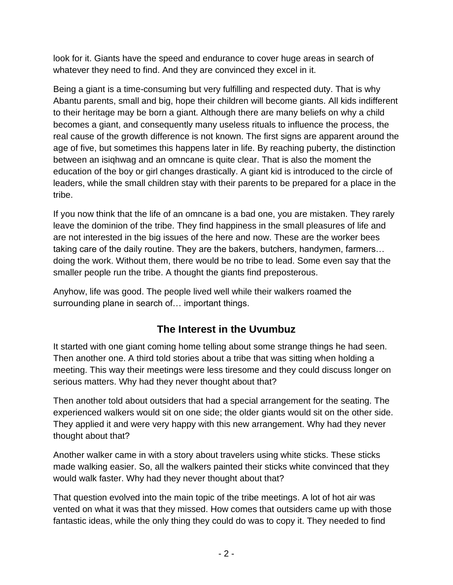look for it. Giants have the speed and endurance to cover huge areas in search of whatever they need to find. And they are convinced they excel in it.

Being a giant is a time-consuming but very fulfilling and respected duty. That is why Abantu parents, small and big, hope their children will become giants. All kids indifferent to their heritage may be born a giant. Although there are many beliefs on why a child becomes a giant, and consequently many useless rituals to influence the process, the real cause of the growth difference is not known. The first signs are apparent around the age of five, but sometimes this happens later in life. By reaching puberty, the distinction between an isiqhwag and an omncane is quite clear. That is also the moment the education of the boy or girl changes drastically. A giant kid is introduced to the circle of leaders, while the small children stay with their parents to be prepared for a place in the tribe.

If you now think that the life of an omncane is a bad one, you are mistaken. They rarely leave the dominion of the tribe. They find happiness in the small pleasures of life and are not interested in the big issues of the here and now. These are the worker bees taking care of the daily routine. They are the bakers, butchers, handymen, farmers… doing the work. Without them, there would be no tribe to lead. Some even say that the smaller people run the tribe. A thought the giants find preposterous.

Anyhow, life was good. The people lived well while their walkers roamed the surrounding plane in search of… important things.

## **The Interest in the Uvumbuz**

It started with one giant coming home telling about some strange things he had seen. Then another one. A third told stories about a tribe that was sitting when holding a meeting. This way their meetings were less tiresome and they could discuss longer on serious matters. Why had they never thought about that?

Then another told about outsiders that had a special arrangement for the seating. The experienced walkers would sit on one side; the older giants would sit on the other side. They applied it and were very happy with this new arrangement. Why had they never thought about that?

Another walker came in with a story about travelers using white sticks. These sticks made walking easier. So, all the walkers painted their sticks white convinced that they would walk faster. Why had they never thought about that?

That question evolved into the main topic of the tribe meetings. A lot of hot air was vented on what it was that they missed. How comes that outsiders came up with those fantastic ideas, while the only thing they could do was to copy it. They needed to find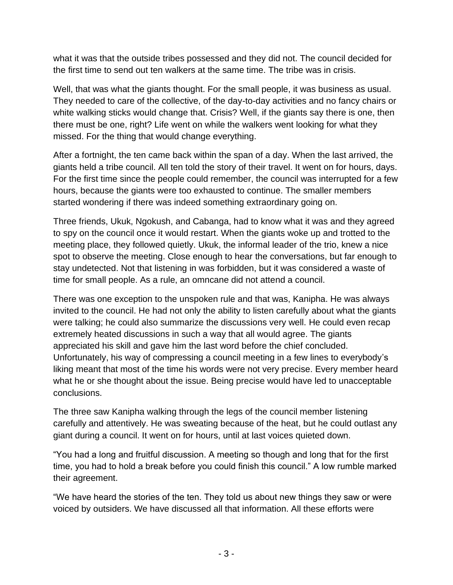what it was that the outside tribes possessed and they did not. The council decided for the first time to send out ten walkers at the same time. The tribe was in crisis.

Well, that was what the giants thought. For the small people, it was business as usual. They needed to care of the collective, of the day-to-day activities and no fancy chairs or white walking sticks would change that. Crisis? Well, if the giants say there is one, then there must be one, right? Life went on while the walkers went looking for what they missed. For the thing that would change everything.

After a fortnight, the ten came back within the span of a day. When the last arrived, the giants held a tribe council. All ten told the story of their travel. It went on for hours, days. For the first time since the people could remember, the council was interrupted for a few hours, because the giants were too exhausted to continue. The smaller members started wondering if there was indeed something extraordinary going on.

Three friends, Ukuk, Ngokush, and Cabanga, had to know what it was and they agreed to spy on the council once it would restart. When the giants woke up and trotted to the meeting place, they followed quietly. Ukuk, the informal leader of the trio, knew a nice spot to observe the meeting. Close enough to hear the conversations, but far enough to stay undetected. Not that listening in was forbidden, but it was considered a waste of time for small people. As a rule, an omncane did not attend a council.

There was one exception to the unspoken rule and that was, Kanipha. He was always invited to the council. He had not only the ability to listen carefully about what the giants were talking; he could also summarize the discussions very well. He could even recap extremely heated discussions in such a way that all would agree. The giants appreciated his skill and gave him the last word before the chief concluded. Unfortunately, his way of compressing a council meeting in a few lines to everybody's liking meant that most of the time his words were not very precise. Every member heard what he or she thought about the issue. Being precise would have led to unacceptable conclusions.

The three saw Kanipha walking through the legs of the council member listening carefully and attentively. He was sweating because of the heat, but he could outlast any giant during a council. It went on for hours, until at last voices quieted down.

"You had a long and fruitful discussion. A meeting so though and long that for the first time, you had to hold a break before you could finish this council." A low rumble marked their agreement.

"We have heard the stories of the ten. They told us about new things they saw or were voiced by outsiders. We have discussed all that information. All these efforts were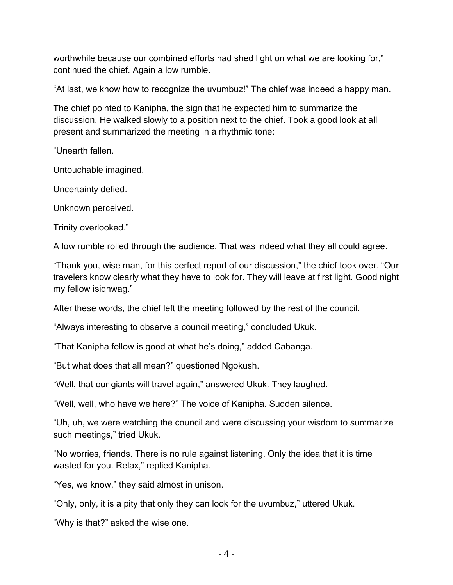worthwhile because our combined efforts had shed light on what we are looking for," continued the chief. Again a low rumble.

"At last, we know how to recognize the uvumbuz!" The chief was indeed a happy man.

The chief pointed to Kanipha, the sign that he expected him to summarize the discussion. He walked slowly to a position next to the chief. Took a good look at all present and summarized the meeting in a rhythmic tone:

"Unearth fallen.

Untouchable imagined.

Uncertainty defied.

Unknown perceived.

Trinity overlooked."

A low rumble rolled through the audience. That was indeed what they all could agree.

"Thank you, wise man, for this perfect report of our discussion," the chief took over. "Our travelers know clearly what they have to look for. They will leave at first light. Good night my fellow isiqhwag."

After these words, the chief left the meeting followed by the rest of the council.

"Always interesting to observe a council meeting," concluded Ukuk.

"That Kanipha fellow is good at what he's doing," added Cabanga.

"But what does that all mean?" questioned Ngokush.

"Well, that our giants will travel again," answered Ukuk. They laughed.

"Well, well, who have we here?" The voice of Kanipha. Sudden silence.

"Uh, uh, we were watching the council and were discussing your wisdom to summarize such meetings," tried Ukuk.

"No worries, friends. There is no rule against listening. Only the idea that it is time wasted for you. Relax," replied Kanipha.

"Yes, we know," they said almost in unison.

"Only, only, it is a pity that only they can look for the uvumbuz," uttered Ukuk.

"Why is that?" asked the wise one.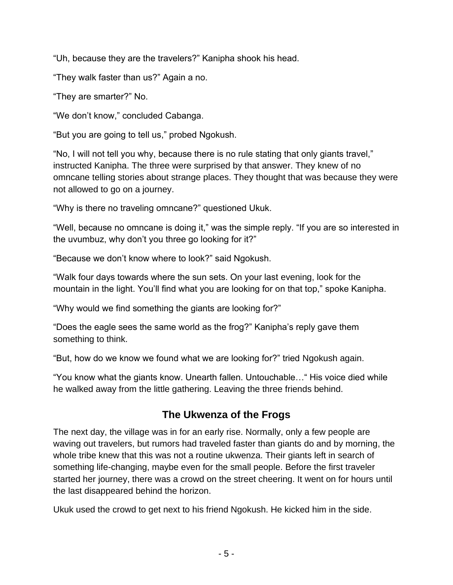"Uh, because they are the travelers?" Kanipha shook his head.

"They walk faster than us?" Again a no.

"They are smarter?" No.

"We don't know," concluded Cabanga.

"But you are going to tell us," probed Ngokush.

"No, I will not tell you why, because there is no rule stating that only giants travel," instructed Kanipha. The three were surprised by that answer. They knew of no omncane telling stories about strange places. They thought that was because they were not allowed to go on a journey.

"Why is there no traveling omncane?" questioned Ukuk.

"Well, because no omncane is doing it," was the simple reply. "If you are so interested in the uvumbuz, why don't you three go looking for it?"

"Because we don't know where to look?" said Ngokush.

"Walk four days towards where the sun sets. On your last evening, look for the mountain in the light. You'll find what you are looking for on that top," spoke Kanipha.

"Why would we find something the giants are looking for?"

"Does the eagle sees the same world as the frog?" Kanipha's reply gave them something to think.

"But, how do we know we found what we are looking for?" tried Ngokush again.

"You know what the giants know. Unearth fallen. Untouchable…" His voice died while he walked away from the little gathering. Leaving the three friends behind.

## **The Ukwenza of the Frogs**

The next day, the village was in for an early rise. Normally, only a few people are waving out travelers, but rumors had traveled faster than giants do and by morning, the whole tribe knew that this was not a routine ukwenza. Their giants left in search of something life-changing, maybe even for the small people. Before the first traveler started her journey, there was a crowd on the street cheering. It went on for hours until the last disappeared behind the horizon.

Ukuk used the crowd to get next to his friend Ngokush. He kicked him in the side.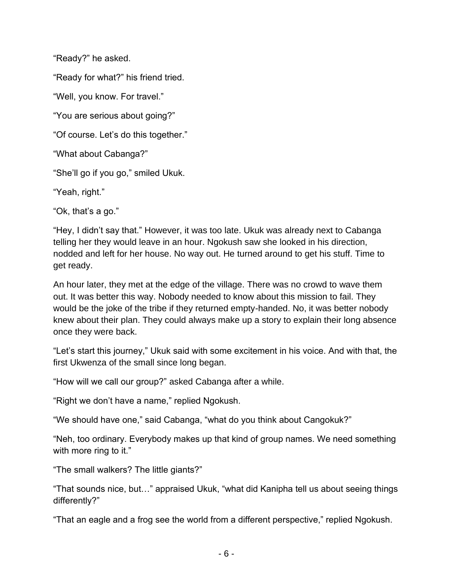"Ready?" he asked.

"Ready for what?" his friend tried.

"Well, you know. For travel."

"You are serious about going?"

"Of course. Let's do this together."

"What about Cabanga?"

"She'll go if you go," smiled Ukuk.

"Yeah, right."

"Ok, that's a go."

"Hey, I didn't say that." However, it was too late. Ukuk was already next to Cabanga telling her they would leave in an hour. Ngokush saw she looked in his direction, nodded and left for her house. No way out. He turned around to get his stuff. Time to get ready.

An hour later, they met at the edge of the village. There was no crowd to wave them out. It was better this way. Nobody needed to know about this mission to fail. They would be the joke of the tribe if they returned empty-handed. No, it was better nobody knew about their plan. They could always make up a story to explain their long absence once they were back.

"Let's start this journey," Ukuk said with some excitement in his voice. And with that, the first Ukwenza of the small since long began.

"How will we call our group?" asked Cabanga after a while.

"Right we don't have a name," replied Ngokush.

"We should have one," said Cabanga, "what do you think about Cangokuk?"

"Neh, too ordinary. Everybody makes up that kind of group names. We need something with more ring to it."

"The small walkers? The little giants?"

"That sounds nice, but…" appraised Ukuk, "what did Kanipha tell us about seeing things differently?"

"That an eagle and a frog see the world from a different perspective," replied Ngokush.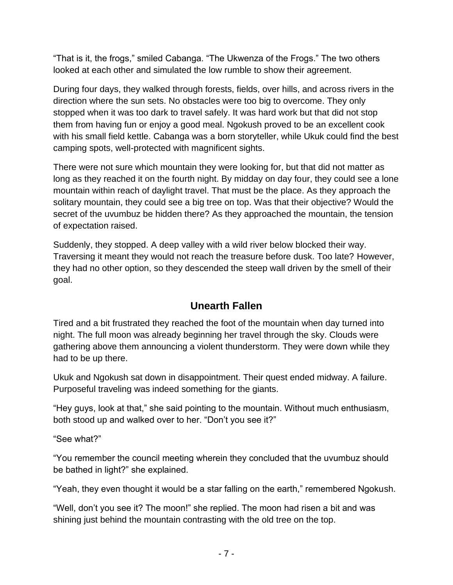"That is it, the frogs," smiled Cabanga. "The Ukwenza of the Frogs." The two others looked at each other and simulated the low rumble to show their agreement.

During four days, they walked through forests, fields, over hills, and across rivers in the direction where the sun sets. No obstacles were too big to overcome. They only stopped when it was too dark to travel safely. It was hard work but that did not stop them from having fun or enjoy a good meal. Ngokush proved to be an excellent cook with his small field kettle. Cabanga was a born storyteller, while Ukuk could find the best camping spots, well-protected with magnificent sights.

There were not sure which mountain they were looking for, but that did not matter as long as they reached it on the fourth night. By midday on day four, they could see a lone mountain within reach of daylight travel. That must be the place. As they approach the solitary mountain, they could see a big tree on top. Was that their objective? Would the secret of the uvumbuz be hidden there? As they approached the mountain, the tension of expectation raised.

Suddenly, they stopped. A deep valley with a wild river below blocked their way. Traversing it meant they would not reach the treasure before dusk. Too late? However, they had no other option, so they descended the steep wall driven by the smell of their goal.

### **Unearth Fallen**

Tired and a bit frustrated they reached the foot of the mountain when day turned into night. The full moon was already beginning her travel through the sky. Clouds were gathering above them announcing a violent thunderstorm. They were down while they had to be up there.

Ukuk and Ngokush sat down in disappointment. Their quest ended midway. A failure. Purposeful traveling was indeed something for the giants.

"Hey guys, look at that," she said pointing to the mountain. Without much enthusiasm, both stood up and walked over to her. "Don't you see it?"

"See what?"

"You remember the council meeting wherein they concluded that the uvumbuz should be bathed in light?" she explained.

"Yeah, they even thought it would be a star falling on the earth," remembered Ngokush.

"Well, don't you see it? The moon!" she replied. The moon had risen a bit and was shining just behind the mountain contrasting with the old tree on the top.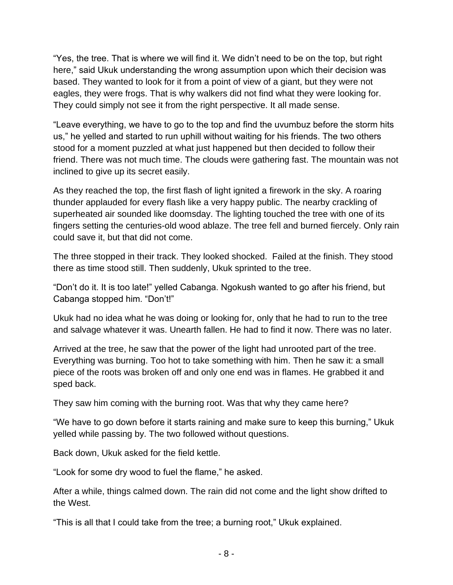"Yes, the tree. That is where we will find it. We didn't need to be on the top, but right here," said Ukuk understanding the wrong assumption upon which their decision was based. They wanted to look for it from a point of view of a giant, but they were not eagles, they were frogs. That is why walkers did not find what they were looking for. They could simply not see it from the right perspective. It all made sense.

"Leave everything, we have to go to the top and find the uvumbuz before the storm hits us," he yelled and started to run uphill without waiting for his friends. The two others stood for a moment puzzled at what just happened but then decided to follow their friend. There was not much time. The clouds were gathering fast. The mountain was not inclined to give up its secret easily.

As they reached the top, the first flash of light ignited a firework in the sky. A roaring thunder applauded for every flash like a very happy public. The nearby crackling of superheated air sounded like doomsday. The lighting touched the tree with one of its fingers setting the centuries-old wood ablaze. The tree fell and burned fiercely. Only rain could save it, but that did not come.

The three stopped in their track. They looked shocked. Failed at the finish. They stood there as time stood still. Then suddenly, Ukuk sprinted to the tree.

"Don't do it. It is too late!" yelled Cabanga. Ngokush wanted to go after his friend, but Cabanga stopped him. "Don't!"

Ukuk had no idea what he was doing or looking for, only that he had to run to the tree and salvage whatever it was. Unearth fallen. He had to find it now. There was no later.

Arrived at the tree, he saw that the power of the light had unrooted part of the tree. Everything was burning. Too hot to take something with him. Then he saw it: a small piece of the roots was broken off and only one end was in flames. He grabbed it and sped back.

They saw him coming with the burning root. Was that why they came here?

"We have to go down before it starts raining and make sure to keep this burning," Ukuk yelled while passing by. The two followed without questions.

Back down, Ukuk asked for the field kettle.

"Look for some dry wood to fuel the flame," he asked.

After a while, things calmed down. The rain did not come and the light show drifted to the West.

"This is all that I could take from the tree; a burning root," Ukuk explained.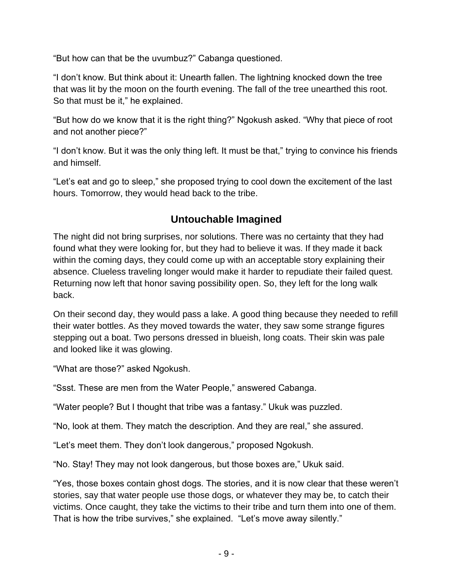"But how can that be the uvumbuz?" Cabanga questioned.

"I don't know. But think about it: Unearth fallen. The lightning knocked down the tree that was lit by the moon on the fourth evening. The fall of the tree unearthed this root. So that must be it," he explained.

"But how do we know that it is the right thing?" Ngokush asked. "Why that piece of root and not another piece?"

"I don't know. But it was the only thing left. It must be that," trying to convince his friends and himself.

"Let's eat and go to sleep," she proposed trying to cool down the excitement of the last hours. Tomorrow, they would head back to the tribe.

## **Untouchable Imagined**

The night did not bring surprises, nor solutions. There was no certainty that they had found what they were looking for, but they had to believe it was. If they made it back within the coming days, they could come up with an acceptable story explaining their absence. Clueless traveling longer would make it harder to repudiate their failed quest. Returning now left that honor saving possibility open. So, they left for the long walk back.

On their second day, they would pass a lake. A good thing because they needed to refill their water bottles. As they moved towards the water, they saw some strange figures stepping out a boat. Two persons dressed in blueish, long coats. Their skin was pale and looked like it was glowing.

"What are those?" asked Ngokush.

"Ssst. These are men from the Water People," answered Cabanga.

"Water people? But I thought that tribe was a fantasy." Ukuk was puzzled.

"No, look at them. They match the description. And they are real," she assured.

"Let's meet them. They don't look dangerous," proposed Ngokush.

"No. Stay! They may not look dangerous, but those boxes are," Ukuk said.

"Yes, those boxes contain ghost dogs. The stories, and it is now clear that these weren't stories, say that water people use those dogs, or whatever they may be, to catch their victims. Once caught, they take the victims to their tribe and turn them into one of them. That is how the tribe survives," she explained. "Let's move away silently."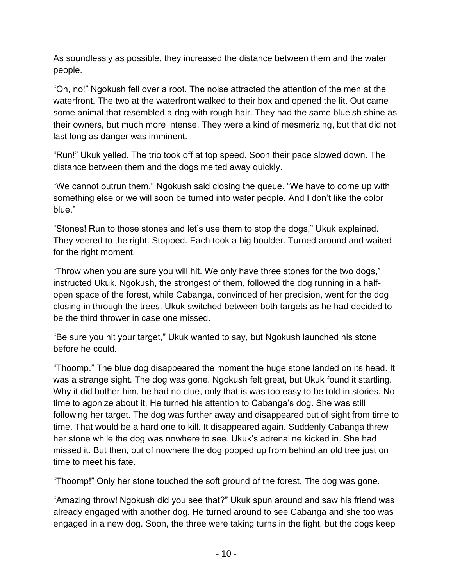As soundlessly as possible, they increased the distance between them and the water people.

"Oh, no!" Ngokush fell over a root. The noise attracted the attention of the men at the waterfront. The two at the waterfront walked to their box and opened the lit. Out came some animal that resembled a dog with rough hair. They had the same blueish shine as their owners, but much more intense. They were a kind of mesmerizing, but that did not last long as danger was imminent.

"Run!" Ukuk yelled. The trio took off at top speed. Soon their pace slowed down. The distance between them and the dogs melted away quickly.

"We cannot outrun them," Ngokush said closing the queue. "We have to come up with something else or we will soon be turned into water people. And I don't like the color blue."

"Stones! Run to those stones and let's use them to stop the dogs," Ukuk explained. They veered to the right. Stopped. Each took a big boulder. Turned around and waited for the right moment.

"Throw when you are sure you will hit. We only have three stones for the two dogs," instructed Ukuk. Ngokush, the strongest of them, followed the dog running in a halfopen space of the forest, while Cabanga, convinced of her precision, went for the dog closing in through the trees. Ukuk switched between both targets as he had decided to be the third thrower in case one missed.

"Be sure you hit your target," Ukuk wanted to say, but Ngokush launched his stone before he could.

"Thoomp." The blue dog disappeared the moment the huge stone landed on its head. It was a strange sight. The dog was gone. Ngokush felt great, but Ukuk found it startling. Why it did bother him, he had no clue, only that is was too easy to be told in stories. No time to agonize about it. He turned his attention to Cabanga's dog. She was still following her target. The dog was further away and disappeared out of sight from time to time. That would be a hard one to kill. It disappeared again. Suddenly Cabanga threw her stone while the dog was nowhere to see. Ukuk's adrenaline kicked in. She had missed it. But then, out of nowhere the dog popped up from behind an old tree just on time to meet his fate.

"Thoomp!" Only her stone touched the soft ground of the forest. The dog was gone.

"Amazing throw! Ngokush did you see that?" Ukuk spun around and saw his friend was already engaged with another dog. He turned around to see Cabanga and she too was engaged in a new dog. Soon, the three were taking turns in the fight, but the dogs keep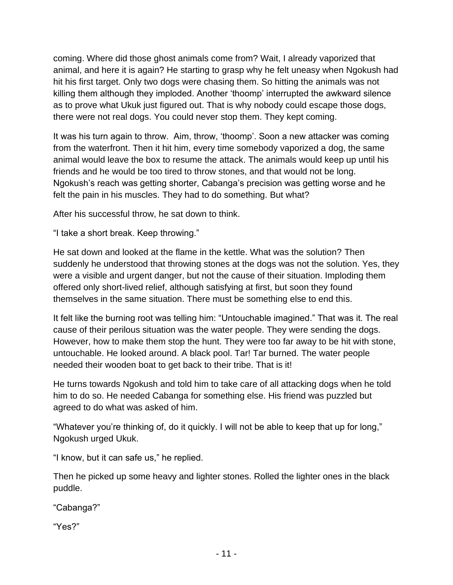coming. Where did those ghost animals come from? Wait, I already vaporized that animal, and here it is again? He starting to grasp why he felt uneasy when Ngokush had hit his first target. Only two dogs were chasing them. So hitting the animals was not killing them although they imploded. Another 'thoomp' interrupted the awkward silence as to prove what Ukuk just figured out. That is why nobody could escape those dogs, there were not real dogs. You could never stop them. They kept coming.

It was his turn again to throw. Aim, throw, 'thoomp'. Soon a new attacker was coming from the waterfront. Then it hit him, every time somebody vaporized a dog, the same animal would leave the box to resume the attack. The animals would keep up until his friends and he would be too tired to throw stones, and that would not be long. Ngokush's reach was getting shorter, Cabanga's precision was getting worse and he felt the pain in his muscles. They had to do something. But what?

After his successful throw, he sat down to think.

"I take a short break. Keep throwing."

He sat down and looked at the flame in the kettle. What was the solution? Then suddenly he understood that throwing stones at the dogs was not the solution. Yes, they were a visible and urgent danger, but not the cause of their situation. Imploding them offered only short-lived relief, although satisfying at first, but soon they found themselves in the same situation. There must be something else to end this.

It felt like the burning root was telling him: "Untouchable imagined." That was it. The real cause of their perilous situation was the water people. They were sending the dogs. However, how to make them stop the hunt. They were too far away to be hit with stone, untouchable. He looked around. A black pool. Tar! Tar burned. The water people needed their wooden boat to get back to their tribe. That is it!

He turns towards Ngokush and told him to take care of all attacking dogs when he told him to do so. He needed Cabanga for something else. His friend was puzzled but agreed to do what was asked of him.

"Whatever you're thinking of, do it quickly. I will not be able to keep that up for long," Ngokush urged Ukuk.

"I know, but it can safe us," he replied.

Then he picked up some heavy and lighter stones. Rolled the lighter ones in the black puddle.

"Cabanga?"

"Yes?"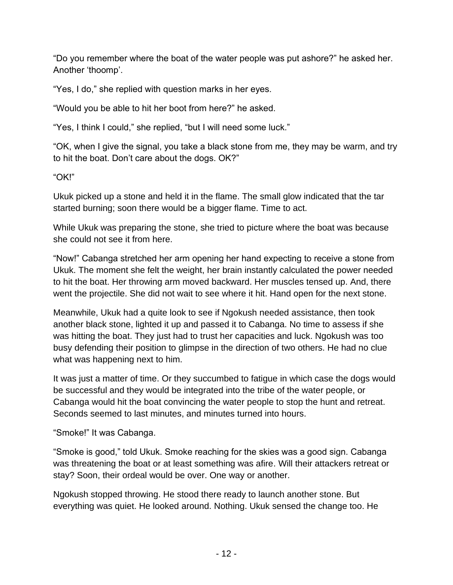"Do you remember where the boat of the water people was put ashore?" he asked her. Another 'thoomp'.

"Yes, I do," she replied with question marks in her eyes.

"Would you be able to hit her boot from here?" he asked.

"Yes, I think I could," she replied, "but I will need some luck."

"OK, when I give the signal, you take a black stone from me, they may be warm, and try to hit the boat. Don't care about the dogs. OK?"

"OK!"

Ukuk picked up a stone and held it in the flame. The small glow indicated that the tar started burning; soon there would be a bigger flame. Time to act.

While Ukuk was preparing the stone, she tried to picture where the boat was because she could not see it from here.

"Now!" Cabanga stretched her arm opening her hand expecting to receive a stone from Ukuk. The moment she felt the weight, her brain instantly calculated the power needed to hit the boat. Her throwing arm moved backward. Her muscles tensed up. And, there went the projectile. She did not wait to see where it hit. Hand open for the next stone.

Meanwhile, Ukuk had a quite look to see if Ngokush needed assistance, then took another black stone, lighted it up and passed it to Cabanga. No time to assess if she was hitting the boat. They just had to trust her capacities and luck. Ngokush was too busy defending their position to glimpse in the direction of two others. He had no clue what was happening next to him.

It was just a matter of time. Or they succumbed to fatigue in which case the dogs would be successful and they would be integrated into the tribe of the water people, or Cabanga would hit the boat convincing the water people to stop the hunt and retreat. Seconds seemed to last minutes, and minutes turned into hours.

"Smoke!" It was Cabanga.

"Smoke is good," told Ukuk. Smoke reaching for the skies was a good sign. Cabanga was threatening the boat or at least something was afire. Will their attackers retreat or stay? Soon, their ordeal would be over. One way or another.

Ngokush stopped throwing. He stood there ready to launch another stone. But everything was quiet. He looked around. Nothing. Ukuk sensed the change too. He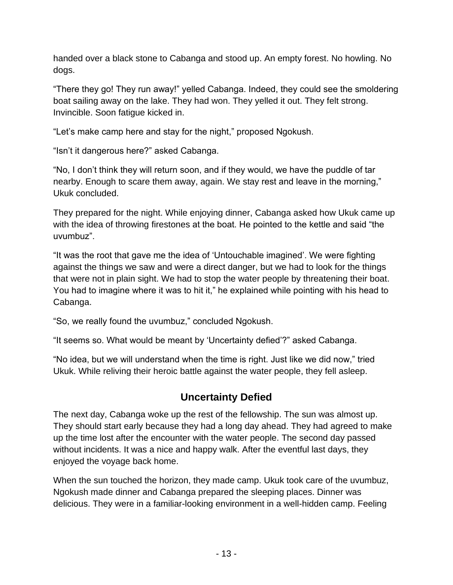handed over a black stone to Cabanga and stood up. An empty forest. No howling. No dogs.

"There they go! They run away!" yelled Cabanga. Indeed, they could see the smoldering boat sailing away on the lake. They had won. They yelled it out. They felt strong. Invincible. Soon fatigue kicked in.

"Let's make camp here and stay for the night," proposed Ngokush.

"Isn't it dangerous here?" asked Cabanga.

"No, I don't think they will return soon, and if they would, we have the puddle of tar nearby. Enough to scare them away, again. We stay rest and leave in the morning," Ukuk concluded.

They prepared for the night. While enjoying dinner, Cabanga asked how Ukuk came up with the idea of throwing firestones at the boat. He pointed to the kettle and said "the uvumbuz".

"It was the root that gave me the idea of 'Untouchable imagined'. We were fighting against the things we saw and were a direct danger, but we had to look for the things that were not in plain sight. We had to stop the water people by threatening their boat. You had to imagine where it was to hit it," he explained while pointing with his head to Cabanga.

"So, we really found the uvumbuz," concluded Ngokush.

"It seems so. What would be meant by 'Uncertainty defied'?" asked Cabanga.

"No idea, but we will understand when the time is right. Just like we did now," tried Ukuk. While reliving their heroic battle against the water people, they fell asleep.

# **Uncertainty Defied**

The next day, Cabanga woke up the rest of the fellowship. The sun was almost up. They should start early because they had a long day ahead. They had agreed to make up the time lost after the encounter with the water people. The second day passed without incidents. It was a nice and happy walk. After the eventful last days, they enjoyed the voyage back home.

When the sun touched the horizon, they made camp. Ukuk took care of the uvumbuz, Ngokush made dinner and Cabanga prepared the sleeping places. Dinner was delicious. They were in a familiar-looking environment in a well-hidden camp. Feeling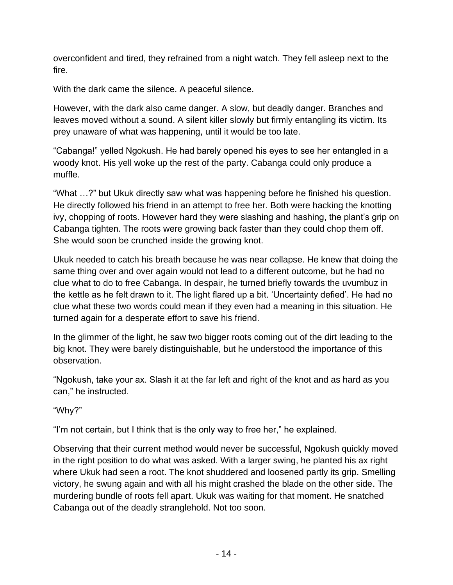overconfident and tired, they refrained from a night watch. They fell asleep next to the fire.

With the dark came the silence. A peaceful silence.

However, with the dark also came danger. A slow, but deadly danger. Branches and leaves moved without a sound. A silent killer slowly but firmly entangling its victim. Its prey unaware of what was happening, until it would be too late.

"Cabanga!" yelled Ngokush. He had barely opened his eyes to see her entangled in a woody knot. His yell woke up the rest of the party. Cabanga could only produce a muffle.

"What …?" but Ukuk directly saw what was happening before he finished his question. He directly followed his friend in an attempt to free her. Both were hacking the knotting ivy, chopping of roots. However hard they were slashing and hashing, the plant's grip on Cabanga tighten. The roots were growing back faster than they could chop them off. She would soon be crunched inside the growing knot.

Ukuk needed to catch his breath because he was near collapse. He knew that doing the same thing over and over again would not lead to a different outcome, but he had no clue what to do to free Cabanga. In despair, he turned briefly towards the uvumbuz in the kettle as he felt drawn to it. The light flared up a bit. 'Uncertainty defied'. He had no clue what these two words could mean if they even had a meaning in this situation. He turned again for a desperate effort to save his friend.

In the glimmer of the light, he saw two bigger roots coming out of the dirt leading to the big knot. They were barely distinguishable, but he understood the importance of this observation.

"Ngokush, take your ax. Slash it at the far left and right of the knot and as hard as you can," he instructed.

"Why?"

"I'm not certain, but I think that is the only way to free her," he explained.

Observing that their current method would never be successful, Ngokush quickly moved in the right position to do what was asked. With a larger swing, he planted his ax right where Ukuk had seen a root. The knot shuddered and loosened partly its grip. Smelling victory, he swung again and with all his might crashed the blade on the other side. The murdering bundle of roots fell apart. Ukuk was waiting for that moment. He snatched Cabanga out of the deadly stranglehold. Not too soon.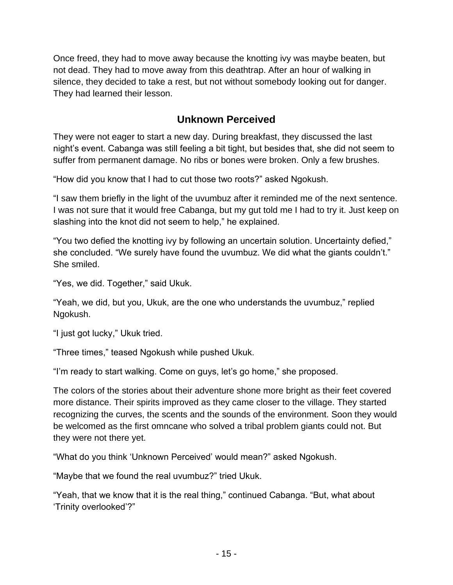Once freed, they had to move away because the knotting ivy was maybe beaten, but not dead. They had to move away from this deathtrap. After an hour of walking in silence, they decided to take a rest, but not without somebody looking out for danger. They had learned their lesson.

### **Unknown Perceived**

They were not eager to start a new day. During breakfast, they discussed the last night's event. Cabanga was still feeling a bit tight, but besides that, she did not seem to suffer from permanent damage. No ribs or bones were broken. Only a few brushes.

"How did you know that I had to cut those two roots?" asked Ngokush.

"I saw them briefly in the light of the uvumbuz after it reminded me of the next sentence. I was not sure that it would free Cabanga, but my gut told me I had to try it. Just keep on slashing into the knot did not seem to help," he explained.

"You two defied the knotting ivy by following an uncertain solution. Uncertainty defied," she concluded. "We surely have found the uvumbuz. We did what the giants couldn't." She smiled.

"Yes, we did. Together," said Ukuk.

"Yeah, we did, but you, Ukuk, are the one who understands the uvumbuz," replied Ngokush.

"I just got lucky," Ukuk tried.

"Three times," teased Ngokush while pushed Ukuk.

"I'm ready to start walking. Come on guys, let's go home," she proposed.

The colors of the stories about their adventure shone more bright as their feet covered more distance. Their spirits improved as they came closer to the village. They started recognizing the curves, the scents and the sounds of the environment. Soon they would be welcomed as the first omncane who solved a tribal problem giants could not. But they were not there yet.

"What do you think 'Unknown Perceived' would mean?" asked Ngokush.

"Maybe that we found the real uvumbuz?" tried Ukuk.

"Yeah, that we know that it is the real thing," continued Cabanga. "But, what about 'Trinity overlooked'?"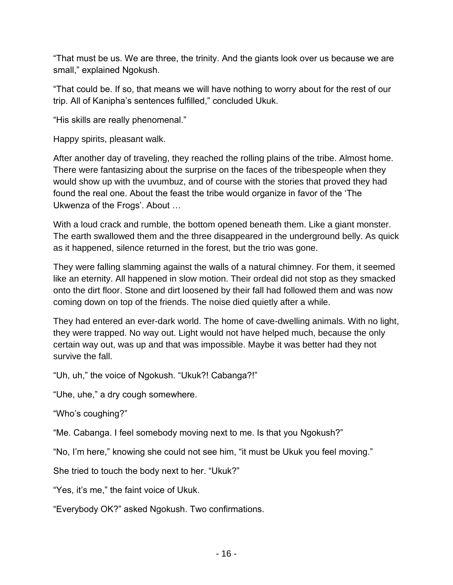"That must be us. We are three, the trinity. And the giants look over us because we are small," explained Ngokush.

"That could be. If so, that means we will have nothing to worry about for the rest of our trip. All of Kanipha's sentences fulfilled," concluded Ukuk.

"His skills are really phenomenal."

Happy spirits, pleasant walk.

After another day of traveling, they reached the rolling plains of the tribe. Almost home. There were fantasizing about the surprise on the faces of the tribespeople when they would show up with the uvumbuz, and of course with the stories that proved they had found the real one. About the feast the tribe would organize in favor of the 'The Ukwenza of the Frogs'. About …

With a loud crack and rumble, the bottom opened beneath them. Like a giant monster. The earth swallowed them and the three disappeared in the underground belly. As quick as it happened, silence returned in the forest, but the trio was gone.

They were falling slamming against the walls of a natural chimney. For them, it seemed like an eternity. All happened in slow motion. Their ordeal did not stop as they smacked onto the dirt floor. Stone and dirt loosened by their fall had followed them and was now coming down on top of the friends. The noise died quietly after a while.

They had entered an ever-dark world. The home of cave-dwelling animals. With no light, they were trapped. No way out. Light would not have helped much, because the only certain way out, was up and that was impossible. Maybe it was better had they not survive the fall.

"Uh, uh," the voice of Ngokush. "Ukuk?! Cabanga?!"

"Uhe, uhe," a dry cough somewhere.

"Who's coughing?"

"Me. Cabanga. I feel somebody moving next to me. Is that you Ngokush?"

"No, I'm here," knowing she could not see him, "it must be Ukuk you feel moving."

She tried to touch the body next to her. "Ukuk?"

"Yes, it's me," the faint voice of Ukuk.

"Everybody OK?" asked Ngokush. Two confirmations.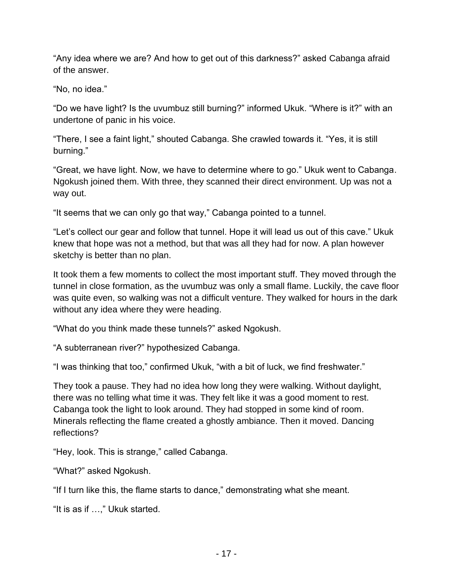"Any idea where we are? And how to get out of this darkness?" asked Cabanga afraid of the answer.

"No, no idea."

"Do we have light? Is the uvumbuz still burning?" informed Ukuk. "Where is it?" with an undertone of panic in his voice.

"There, I see a faint light," shouted Cabanga. She crawled towards it. "Yes, it is still burning."

"Great, we have light. Now, we have to determine where to go." Ukuk went to Cabanga. Ngokush joined them. With three, they scanned their direct environment. Up was not a way out.

"It seems that we can only go that way," Cabanga pointed to a tunnel.

"Let's collect our gear and follow that tunnel. Hope it will lead us out of this cave." Ukuk knew that hope was not a method, but that was all they had for now. A plan however sketchy is better than no plan.

It took them a few moments to collect the most important stuff. They moved through the tunnel in close formation, as the uvumbuz was only a small flame. Luckily, the cave floor was quite even, so walking was not a difficult venture. They walked for hours in the dark without any idea where they were heading.

"What do you think made these tunnels?" asked Ngokush.

"A subterranean river?" hypothesized Cabanga.

"I was thinking that too," confirmed Ukuk, "with a bit of luck, we find freshwater."

They took a pause. They had no idea how long they were walking. Without daylight, there was no telling what time it was. They felt like it was a good moment to rest. Cabanga took the light to look around. They had stopped in some kind of room. Minerals reflecting the flame created a ghostly ambiance. Then it moved. Dancing reflections?

"Hey, look. This is strange," called Cabanga.

"What?" asked Ngokush.

"If I turn like this, the flame starts to dance," demonstrating what she meant.

"It is as if …," Ukuk started.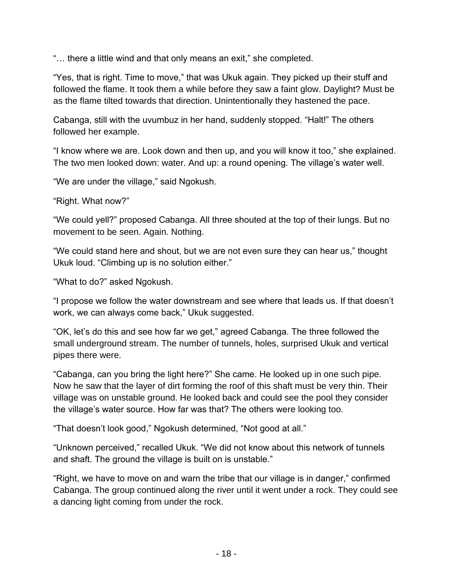"… there a little wind and that only means an exit," she completed.

"Yes, that is right. Time to move," that was Ukuk again. They picked up their stuff and followed the flame. It took them a while before they saw a faint glow. Daylight? Must be as the flame tilted towards that direction. Unintentionally they hastened the pace.

Cabanga, still with the uvumbuz in her hand, suddenly stopped. "Halt!" The others followed her example.

"I know where we are. Look down and then up, and you will know it too," she explained. The two men looked down: water. And up: a round opening. The village's water well.

"We are under the village," said Ngokush.

"Right. What now?"

"We could yell?" proposed Cabanga. All three shouted at the top of their lungs. But no movement to be seen. Again. Nothing.

"We could stand here and shout, but we are not even sure they can hear us," thought Ukuk loud. "Climbing up is no solution either."

"What to do?" asked Ngokush.

"I propose we follow the water downstream and see where that leads us. If that doesn't work, we can always come back," Ukuk suggested.

"OK, let's do this and see how far we get," agreed Cabanga. The three followed the small underground stream. The number of tunnels, holes, surprised Ukuk and vertical pipes there were.

"Cabanga, can you bring the light here?" She came. He looked up in one such pipe. Now he saw that the layer of dirt forming the roof of this shaft must be very thin. Their village was on unstable ground. He looked back and could see the pool they consider the village's water source. How far was that? The others were looking too.

"That doesn't look good," Ngokush determined, "Not good at all."

"Unknown perceived," recalled Ukuk. "We did not know about this network of tunnels and shaft. The ground the village is built on is unstable."

"Right, we have to move on and warn the tribe that our village is in danger," confirmed Cabanga. The group continued along the river until it went under a rock. They could see a dancing light coming from under the rock.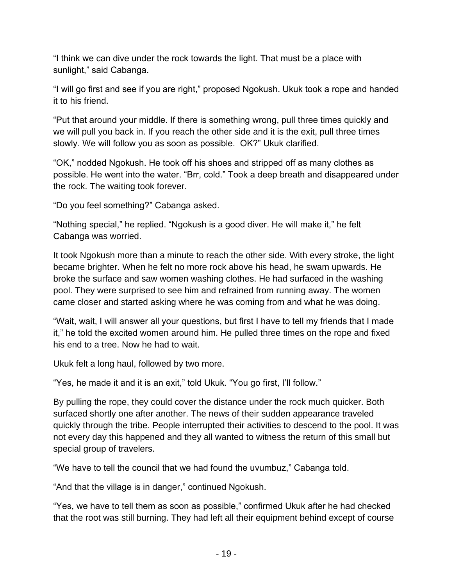"I think we can dive under the rock towards the light. That must be a place with sunlight," said Cabanga.

"I will go first and see if you are right," proposed Ngokush. Ukuk took a rope and handed it to his friend.

"Put that around your middle. If there is something wrong, pull three times quickly and we will pull you back in. If you reach the other side and it is the exit, pull three times slowly. We will follow you as soon as possible. OK?" Ukuk clarified.

"OK," nodded Ngokush. He took off his shoes and stripped off as many clothes as possible. He went into the water. "Brr, cold." Took a deep breath and disappeared under the rock. The waiting took forever.

"Do you feel something?" Cabanga asked.

"Nothing special," he replied. "Ngokush is a good diver. He will make it," he felt Cabanga was worried.

It took Ngokush more than a minute to reach the other side. With every stroke, the light became brighter. When he felt no more rock above his head, he swam upwards. He broke the surface and saw women washing clothes. He had surfaced in the washing pool. They were surprised to see him and refrained from running away. The women came closer and started asking where he was coming from and what he was doing.

"Wait, wait, I will answer all your questions, but first I have to tell my friends that I made it," he told the excited women around him. He pulled three times on the rope and fixed his end to a tree. Now he had to wait.

Ukuk felt a long haul, followed by two more.

"Yes, he made it and it is an exit," told Ukuk. "You go first, I'll follow."

By pulling the rope, they could cover the distance under the rock much quicker. Both surfaced shortly one after another. The news of their sudden appearance traveled quickly through the tribe. People interrupted their activities to descend to the pool. It was not every day this happened and they all wanted to witness the return of this small but special group of travelers.

"We have to tell the council that we had found the uvumbuz," Cabanga told.

"And that the village is in danger," continued Ngokush.

"Yes, we have to tell them as soon as possible," confirmed Ukuk after he had checked that the root was still burning. They had left all their equipment behind except of course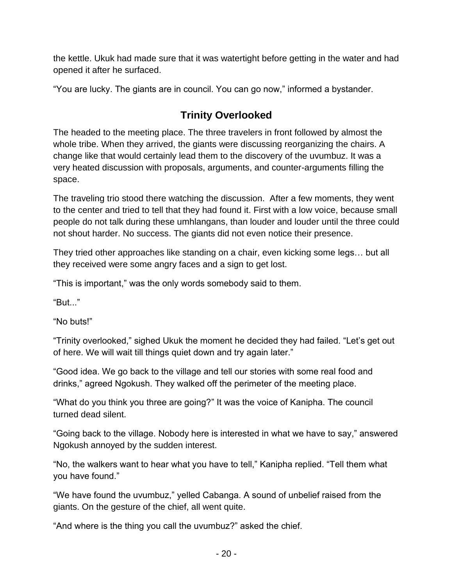the kettle. Ukuk had made sure that it was watertight before getting in the water and had opened it after he surfaced.

"You are lucky. The giants are in council. You can go now," informed a bystander.

# **Trinity Overlooked**

The headed to the meeting place. The three travelers in front followed by almost the whole tribe. When they arrived, the giants were discussing reorganizing the chairs. A change like that would certainly lead them to the discovery of the uvumbuz. It was a very heated discussion with proposals, arguments, and counter-arguments filling the space.

The traveling trio stood there watching the discussion. After a few moments, they went to the center and tried to tell that they had found it. First with a low voice, because small people do not talk during these umhlangans, than louder and louder until the three could not shout harder. No success. The giants did not even notice their presence.

They tried other approaches like standing on a chair, even kicking some legs… but all they received were some angry faces and a sign to get lost.

"This is important," was the only words somebody said to them.

"But..."

"No buts!"

"Trinity overlooked," sighed Ukuk the moment he decided they had failed. "Let's get out of here. We will wait till things quiet down and try again later."

"Good idea. We go back to the village and tell our stories with some real food and drinks," agreed Ngokush. They walked off the perimeter of the meeting place.

"What do you think you three are going?" It was the voice of Kanipha. The council turned dead silent.

"Going back to the village. Nobody here is interested in what we have to say," answered Ngokush annoyed by the sudden interest.

"No, the walkers want to hear what you have to tell," Kanipha replied. "Tell them what you have found."

"We have found the uvumbuz," yelled Cabanga. A sound of unbelief raised from the giants. On the gesture of the chief, all went quite.

"And where is the thing you call the uvumbuz?" asked the chief.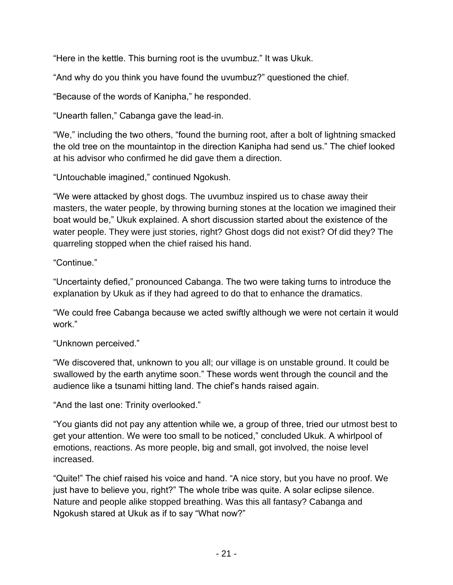"Here in the kettle. This burning root is the uvumbuz." It was Ukuk.

"And why do you think you have found the uvumbuz?" questioned the chief.

"Because of the words of Kanipha," he responded.

"Unearth fallen," Cabanga gave the lead-in.

"We," including the two others, "found the burning root, after a bolt of lightning smacked the old tree on the mountaintop in the direction Kanipha had send us." The chief looked at his advisor who confirmed he did gave them a direction.

"Untouchable imagined," continued Ngokush.

"We were attacked by ghost dogs. The uvumbuz inspired us to chase away their masters, the water people, by throwing burning stones at the location we imagined their boat would be," Ukuk explained. A short discussion started about the existence of the water people. They were just stories, right? Ghost dogs did not exist? Of did they? The quarreling stopped when the chief raised his hand.

"Continue."

"Uncertainty defied," pronounced Cabanga. The two were taking turns to introduce the explanation by Ukuk as if they had agreed to do that to enhance the dramatics.

"We could free Cabanga because we acted swiftly although we were not certain it would work."

"Unknown perceived."

"We discovered that, unknown to you all; our village is on unstable ground. It could be swallowed by the earth anytime soon." These words went through the council and the audience like a tsunami hitting land. The chief's hands raised again.

"And the last one: Trinity overlooked."

"You giants did not pay any attention while we, a group of three, tried our utmost best to get your attention. We were too small to be noticed," concluded Ukuk. A whirlpool of emotions, reactions. As more people, big and small, got involved, the noise level increased.

"Quite!" The chief raised his voice and hand. "A nice story, but you have no proof. We just have to believe you, right?" The whole tribe was quite. A solar eclipse silence. Nature and people alike stopped breathing. Was this all fantasy? Cabanga and Ngokush stared at Ukuk as if to say "What now?"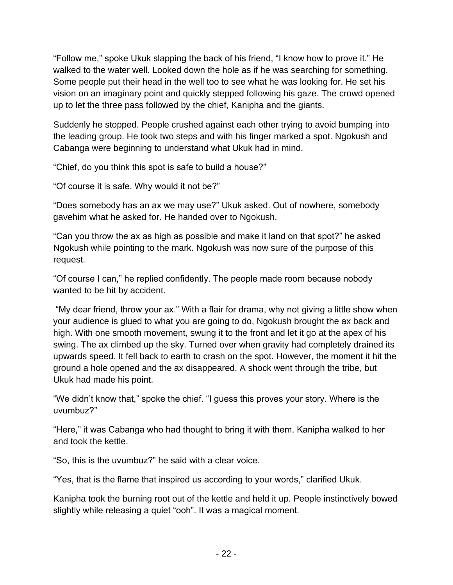"Follow me," spoke Ukuk slapping the back of his friend, "I know how to prove it." He walked to the water well. Looked down the hole as if he was searching for something. Some people put their head in the well too to see what he was looking for. He set his vision on an imaginary point and quickly stepped following his gaze. The crowd opened up to let the three pass followed by the chief, Kanipha and the giants.

Suddenly he stopped. People crushed against each other trying to avoid bumping into the leading group. He took two steps and with his finger marked a spot. Ngokush and Cabanga were beginning to understand what Ukuk had in mind.

"Chief, do you think this spot is safe to build a house?"

"Of course it is safe. Why would it not be?"

"Does somebody has an ax we may use?" Ukuk asked. Out of nowhere, somebody gavehim what he asked for. He handed over to Ngokush.

"Can you throw the ax as high as possible and make it land on that spot?" he asked Ngokush while pointing to the mark. Ngokush was now sure of the purpose of this request.

"Of course I can," he replied confidently. The people made room because nobody wanted to be hit by accident.

"My dear friend, throw your ax." With a flair for drama, why not giving a little show when your audience is glued to what you are going to do, Ngokush brought the ax back and high. With one smooth movement, swung it to the front and let it go at the apex of his swing. The ax climbed up the sky. Turned over when gravity had completely drained its upwards speed. It fell back to earth to crash on the spot. However, the moment it hit the ground a hole opened and the ax disappeared. A shock went through the tribe, but Ukuk had made his point.

"We didn't know that," spoke the chief. "I guess this proves your story. Where is the uvumbuz?"

"Here," it was Cabanga who had thought to bring it with them. Kanipha walked to her and took the kettle.

"So, this is the uvumbuz?" he said with a clear voice.

"Yes, that is the flame that inspired us according to your words," clarified Ukuk.

Kanipha took the burning root out of the kettle and held it up. People instinctively bowed slightly while releasing a quiet "ooh". It was a magical moment.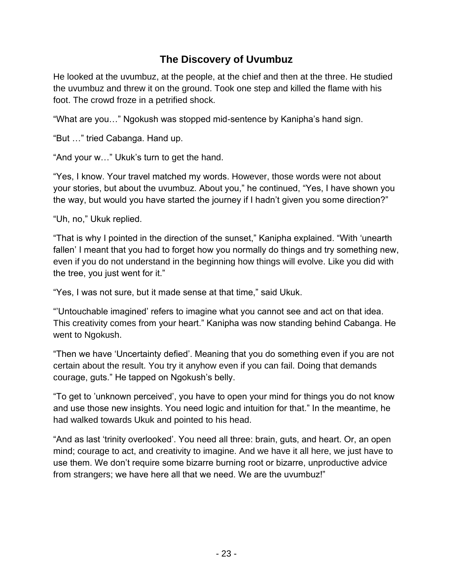## **The Discovery of Uvumbuz**

He looked at the uvumbuz, at the people, at the chief and then at the three. He studied the uvumbuz and threw it on the ground. Took one step and killed the flame with his foot. The crowd froze in a petrified shock.

"What are you…" Ngokush was stopped mid-sentence by Kanipha's hand sign.

"But …" tried Cabanga. Hand up.

"And your w…" Ukuk's turn to get the hand.

"Yes, I know. Your travel matched my words. However, those words were not about your stories, but about the uvumbuz. About you," he continued, "Yes, I have shown you the way, but would you have started the journey if I hadn't given you some direction?"

"Uh, no," Ukuk replied.

"That is why I pointed in the direction of the sunset," Kanipha explained. "With 'unearth fallen' I meant that you had to forget how you normally do things and try something new, even if you do not understand in the beginning how things will evolve. Like you did with the tree, you just went for it."

"Yes, I was not sure, but it made sense at that time," said Ukuk.

"'Untouchable imagined' refers to imagine what you cannot see and act on that idea. This creativity comes from your heart." Kanipha was now standing behind Cabanga. He went to Ngokush.

"Then we have 'Uncertainty defied'. Meaning that you do something even if you are not certain about the result. You try it anyhow even if you can fail. Doing that demands courage, guts." He tapped on Ngokush's belly.

"To get to 'unknown perceived', you have to open your mind for things you do not know and use those new insights. You need logic and intuition for that." In the meantime, he had walked towards Ukuk and pointed to his head.

"And as last 'trinity overlooked'. You need all three: brain, guts, and heart. Or, an open mind; courage to act, and creativity to imagine. And we have it all here, we just have to use them. We don't require some bizarre burning root or bizarre, unproductive advice from strangers; we have here all that we need. We are the uvumbuz!"